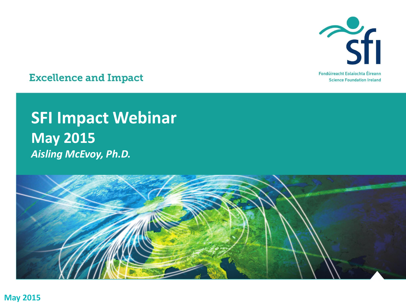

**Excellence and Impact** 

#### **SFI Impact Webinar May 2015** *Aisling McEvoy, Ph.D.*

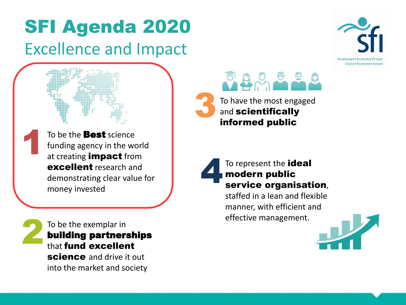#### SFI Agenda 2020 Excellence and Impact



To be the **Best** science funding agency in the world at creating **impact** from excellent research and demonstrating clear value for money invested

To be the exemplar in building partnerships that fund excellent science and drive it out into the market and society

2

1







staffed in a lean and flexible manner, with efficient and effective management.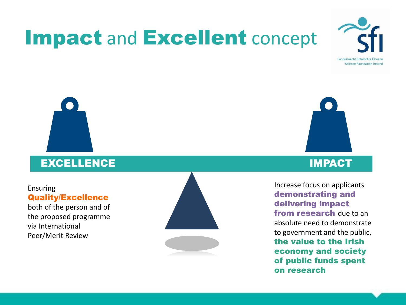# Impact and Excellent concept



#### **EXCELLENCE IMPACTED AND IMPACT OF THE CELLENCE**

#### **Ensuring Quality/ Ensuring Quality/Excellence**

both of the person and of provisoria<br>**programme via que que** the proposed programme via International Peer/Merit Review





#### IMPACT **EXCELLENCE**

Increase focus on applicants **applicants dgemonstratin demonstration research delivering impact** from research due to an **the** *P* **exists and the** *P* **<b>exists public, the value of the value of the value of the value of the value of the value of the value of the value of the value of the value of the value of the value of the value of the value of the value of the value of the v** to govern **society** the value to the Irish economy and society Fotus on applicant and **both of a** demonstrating and *<u>betu</u>* to define to government and the public, of public funds spent on research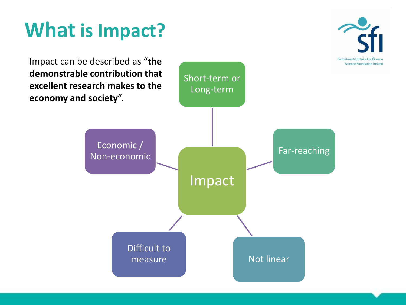## **What is Impact?**

Fondúireacht Eolaíochta Éirean **Science Foundation Ireland** 

Impact can be described as "**the demonstrable contribution that excellent research makes to the economy and society**".

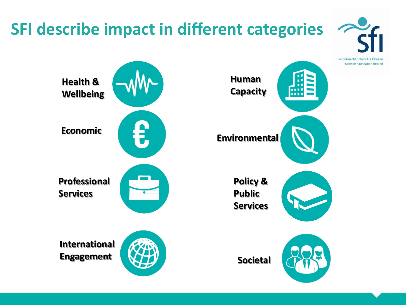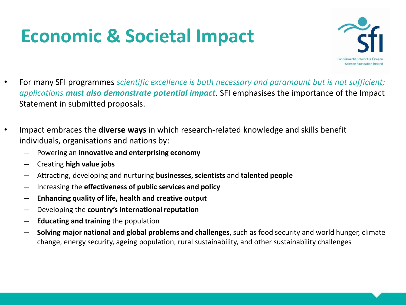### **Economic & Societal Impact**



- For many SFI programmes *scientific excellence is both necessary and paramount but is not sufficient; applications must also demonstrate potential impact*. SFI emphasises the importance of the Impact Statement in submitted proposals.
- Impact embraces the **diverse ways** in which research-related knowledge and skills benefit individuals, organisations and nations by:
	- Powering an **innovative and enterprising economy**
	- Creating **high value jobs**
	- Attracting, developing and nurturing **businesses, scientists** and **talented people**
	- Increasing the **effectiveness of public services and policy**
	- **Enhancing quality of life, health and creative output**
	- Developing the **country's international reputation**
	- **Educating and training** the population
	- **Solving major national and global problems and challenges**, such as food security and world hunger, climate change, energy security, ageing population, rural sustainability, and other sustainability challenges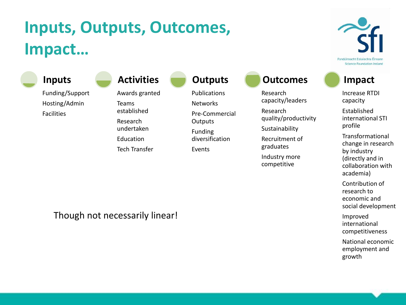#### **Inputs, Outputs, Outcomes, Impact…**

Funding/Support Hosting/Admin Facilities **Inputs**

Awards granted Teams established Research undertaken Education **Activities**

Tech Transfer

**Outputs**

Publications **Networks** Pre-Commercial

**Outputs** Funding

diversification

Events

**Outcomes**

Research capacity/leaders

Research quality/productivity

Sustainability

Recruitment of graduates

Industry more competitive

Fondúireacht Eolaíochta Éireann **Science Foundation Ireland** 

#### **Impact**

Increase RTDI capacity

Established international STI profile

Transformational change in research by industry (directly and in collaboration with academia)

Contribution of research to economic and social development

Improved international competitiveness

National economic employment and growth

Though not necessarily linear!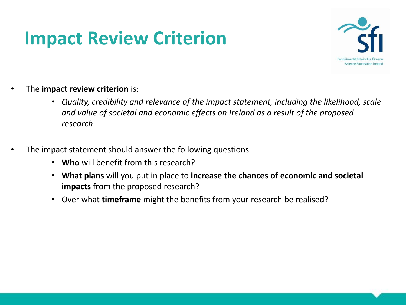### **Impact Review Criterion**



- The **impact review criterion** is:
	- *Quality, credibility and relevance of the impact statement, including the likelihood, scale and value of societal and economic effects on Ireland as a result of the proposed research*.
- The impact statement should answer the following questions
	- **Who** will benefit from this research?
	- **What plans** will you put in place to **increase the chances of economic and societal impacts** from the proposed research?
	- Over what **timeframe** might the benefits from your research be realised?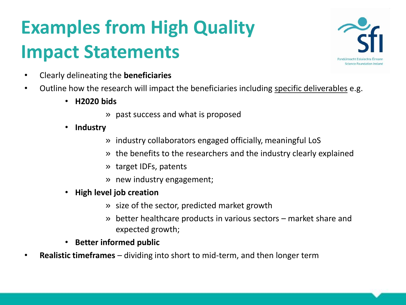# **Examples from High Quality Impact Statements**



- Clearly delineating the **beneficiaries**
- Outline how the research will impact the beneficiaries including specific deliverables e.g.
	- **H2020 bids** 
		- » past success and what is proposed
	- **Industry**
		- » industry collaborators engaged officially, meaningful LoS
		- » the benefits to the researchers and the industry clearly explained
		- » target IDFs, patents
		- » new industry engagement;
	- **High level job creation** 
		- » size of the sector, predicted market growth
		- » better healthcare products in various sectors market share and expected growth;
	- **Better informed public**
- **Realistic timeframes**  dividing into short to mid-term, and then longer term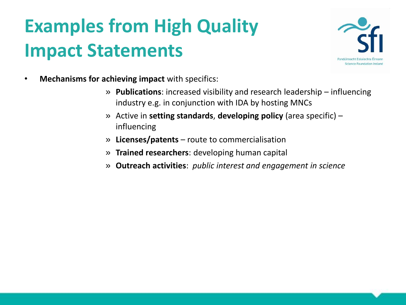## **Examples from High Quality Impact Statements**



- **Mechanisms for achieving impact** with specifics:
	- » **Publications**: increased visibility and research leadership influencing industry e.g. in conjunction with IDA by hosting MNCs
	- » Active in **setting standards**, **developing policy** (area specific) influencing
	- » **Licenses/patents** route to commercialisation
	- » **Trained researchers**: developing human capital
	- » **Outreach activities**: *public interest and engagement in science*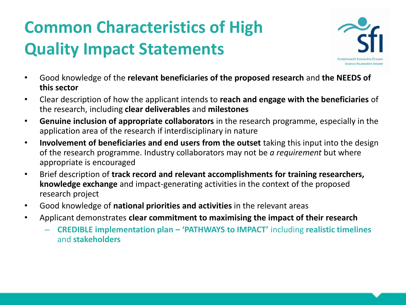#### **Common Characteristics of High Quality Impact Statements**



- Good knowledge of the **relevant beneficiaries of the proposed research** and **the NEEDS of this sector**
- Clear description of how the applicant intends to **reach and engage with the beneficiaries** of the research, including **clear deliverables** and **milestones**
- **Genuine inclusion of appropriate collaborators** in the research programme, especially in the application area of the research if interdisciplinary in nature
- **Involvement of beneficiaries and end users from the outset** taking this input into the design of the research programme. Industry collaborators may not be *a requirement* but where appropriate is encouraged
- Brief description of **track record and relevant accomplishments for training researchers, knowledge exchange** and impact-generating activities in the context of the proposed research project
- Good knowledge of **national priorities and activities** in the relevant areas
- Applicant demonstrates **clear commitment to maximising the impact of their research**
	- **CREDIBLE implementation plan – 'PATHWAYS to IMPACT'** including **realistic timelines**  and **stakeholders**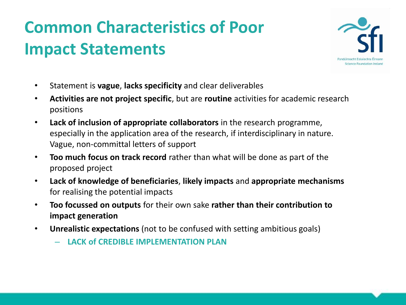#### **Common Characteristics of Poor Impact Statements**



- Statement is **vague**, **lacks specificity** and clear deliverables
- **Activities are not project specific**, but are **routine** activities for academic research positions
- **Lack of inclusion of appropriate collaborators** in the research programme, especially in the application area of the research, if interdisciplinary in nature. Vague, non-committal letters of support
- **Too much focus on track record** rather than what will be done as part of the proposed project
- **Lack of knowledge of beneficiaries**, **likely impacts** and **appropriate mechanisms**  for realising the potential impacts
- **Too focussed on outputs** for their own sake **rather than their contribution to impact generation**
- **Unrealistic expectations** (not to be confused with setting ambitious goals)
	- **LACK of CREDIBLE IMPLEMENTATION PLAN**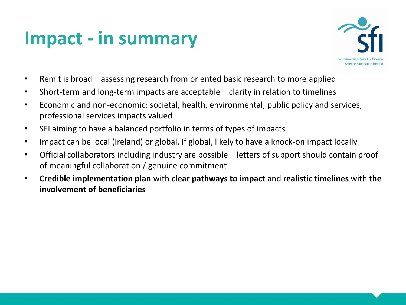### **Impact - in summary**



- Remit is broad assessing research from oriented basic research to more applied
- Short-term and long-term impacts are acceptable clarity in relation to timelines
- Economic and non-economic: societal, health, environmental, public policy and services, professional services impacts valued
- SFI aiming to have a balanced portfolio in terms of types of impacts
- Impact can be local (Ireland) or global. If global, likely to have a knock-on impact locally
- Official collaborators including industry are possible letters of support should contain proof of meaningful collaboration / genuine commitment
- **Credible implementation plan** with **clear pathways to impact** and **realistic timelines** with **the involvement of beneficiaries**